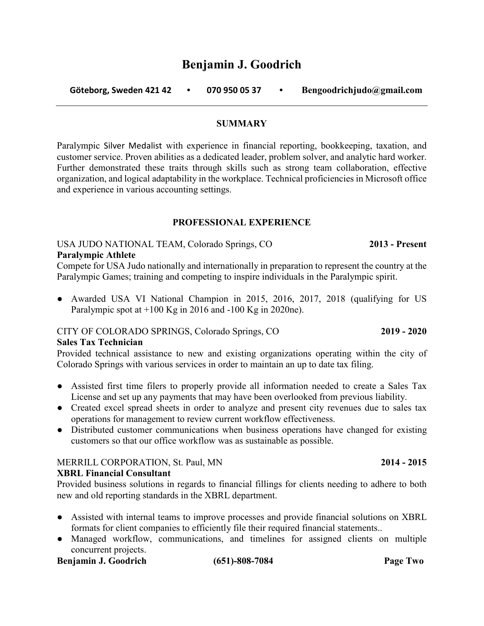# **Benjamin J. Goodrich**

 **Göteborg, Sweden 421 42 • 070 950 05 37 • Bengoodrichjudo@gmail.com**

### **SUMMARY**

Paralympic Silver Medalist with experience in financial reporting, bookkeeping, taxation, and customer service. Proven abilities as a dedicated leader, problem solver, and analytic hard worker. Further demonstrated these traits through skills such as strong team collaboration, effective organization, and logical adaptability in the workplace. Technical proficiencies in Microsoft office and experience in various accounting settings.

### **PROFESSIONAL EXPERIENCE**

### USA JUDO NATIONAL TEAM, Colorado Springs, CO **2013 - Present**

### **Paralympic Athlete**

Compete for USA Judo nationally and internationally in preparation to represent the country at the Paralympic Games; training and competing to inspire individuals in the Paralympic spirit.

• Awarded USA VI National Champion in 2015, 2016, 2017, 2018 (qualifying for US Paralympic spot at  $+100$  Kg in 2016 and  $-100$  Kg in 2020ne).

### CITY OF COLORADO SPRINGS, Colorado Springs, CO **2019 - 2020**

### **Sales Tax Technician**

Provided technical assistance to new and existing organizations operating within the city of Colorado Springs with various services in order to maintain an up to date tax filing.

- Assisted first time filers to properly provide all information needed to create a Sales Tax License and set up any payments that may have been overlooked from previous liability.
- Created excel spread sheets in order to analyze and present city revenues due to sales tax operations for management to review current workflow effectiveness.
- Distributed customer communications when business operations have changed for existing customers so that our office workflow was as sustainable as possible.

### MERRILL CORPORATION, St. Paul, MN **2014 - 2015**

**XBRL Financial Consultant**

Provided business solutions in regards to financial fillings for clients needing to adhere to both new and old reporting standards in the XBRL department.

- Assisted with internal teams to improve processes and provide financial solutions on XBRL formats for client companies to efficiently file their required financial statements..
- Managed workflow, communications, and timelines for assigned clients on multiple concurrent projects.

### **Benjamin J. Goodrich (651)-808-7084 Page Two**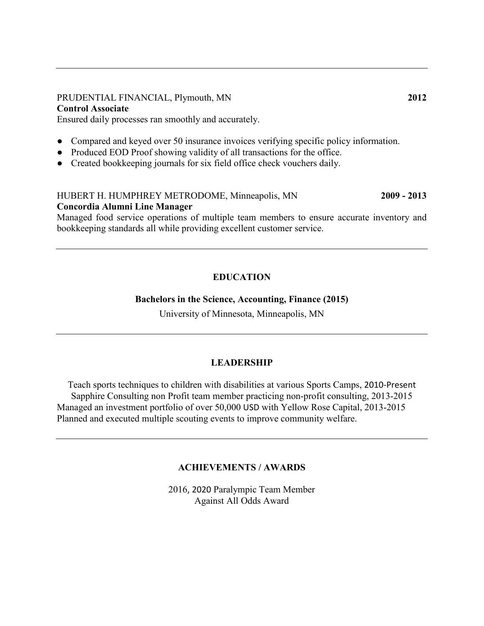### PRUDENTIAL FINANCIAL, Plymouth, MN 2012 **Control Associate**

Ensured daily processes ran smoothly and accurately.

- Compared and keyed over 50 insurance invoices verifying specific policy information.
- Produced EOD Proof showing validity of all transactions for the office.
- Created bookkeeping journals for six field office check vouchers daily.

# HUBERT H. HUMPHREY METRODOME, Minneapolis, MN **2009 - 2013 Concordia Alumni Line Manager**

Managed food service operations of multiple team members to ensure accurate inventory and bookkeeping standards all while providing excellent customer service.

## **EDUCATION**

### **Bachelors in the Science, Accounting, Finance (2015)**

University of Minnesota, Minneapolis, MN

### **LEADERSHIP**

Teach sports techniques to children with disabilities at various Sports Camps, 2010-Present Sapphire Consulting non Profit team member practicing non-profit consulting, 2013-2015 Managed an investment portfolio of over 50,000 USD with Yellow Rose Capital, 2013-2015 Planned and executed multiple scouting events to improve community welfare.

### **ACHIEVEMENTS / AWARDS**

2016, 2020 Paralympic Team Member Against All Odds Award